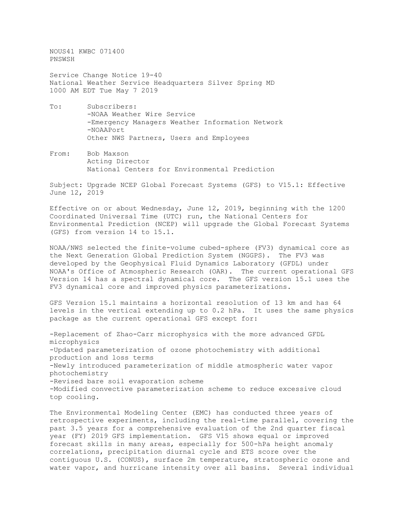NOUS41 KWBC 071400 PNSWSH

Service Change Notice 19-40 National Weather Service Headquarters Silver Spring MD 1000 AM EDT Tue May 7 2019

- To: Subscribers: -NOAA Weather Wire Service -Emergency Managers Weather Information Network -NOAAPort Other NWS Partners, Users and Employees
- From: Bob Maxson Acting Director National Centers for Environmental Prediction

Subject: Upgrade NCEP Global Forecast Systems (GFS) to V15.1: Effective June 12, 2019

Effective on or about Wednesday, June 12, 2019, beginning with the 1200 Coordinated Universal Time (UTC) run, the National Centers for Environmental Prediction (NCEP) will upgrade the Global Forecast Systems (GFS) from version 14 to 15.1.

NOAA/NWS selected the finite-volume cubed-sphere (FV3) dynamical core as the Next Generation Global Prediction System (NGGPS). The FV3 was developed by the Geophysical Fluid Dynamics Laboratory (GFDL) under NOAA's Office of Atmospheric Research (OAR). The current operational GFS Version 14 has a spectral dynamical core. The GFS version 15.1 uses the FV3 dynamical core and improved physics parameterizations.

GFS Version 15.1 maintains a horizontal resolution of 13 km and has 64 levels in the vertical extending up to 0.2 hPa. It uses the same physics package as the current operational GFS except for:

-Replacement of Zhao-Carr microphysics with the more advanced GFDL microphysics -Updated parameterization of ozone photochemistry with additional production and loss terms -Newly introduced parameterization of middle atmospheric water vapor photochemistry -Revised bare soil evaporation scheme -Modified convective parameterization scheme to reduce excessive cloud top cooling.

The Environmental Modeling Center (EMC) has conducted three years of retrospective experiments, including the real-time parallel, covering the past 3.5 years for a comprehensive evaluation of the 2nd quarter fiscal year (FY) 2019 GFS implementation. GFS V15 shows equal or improved forecast skills in many areas, especially for 500-hPa height anomaly correlations, precipitation diurnal cycle and ETS score over the contiguous U.S. (CONUS), surface 2m temperature, stratospheric ozone and water vapor, and hurricane intensity over all basins. Several individual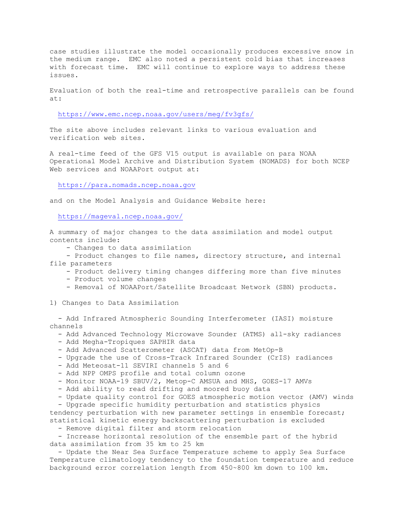case studies illustrate the model occasionally produces excessive snow in the medium range. EMC also noted a persistent cold bias that increases with forecast time. EMC will continue to explore ways to address these issues.

Evaluation of both the real-time and retrospective parallels can be found at:

<https://www.emc.ncep.noaa.gov/users/meg/fv3gfs/>

The site above includes relevant links to various evaluation and verification web sites.

A real-time feed of the GFS V15 output is available on para NOAA Operational Model Archive and Distribution System (NOMADS) for both NCEP Web services and NOAAPort output at:

[https://para.nomads.ncep.noaa.gov](https://para.nomads.ncep.noaa.gov/)

and on the Model Analysis and Guidance Website here:

<https://mageval.ncep.noaa.gov/>

A summary of major changes to the data assimilation and model output contents include:

- Changes to data assimilation
- Product changes to file names, directory structure, and internal file parameters
	- Product delivery timing changes differing more than five minutes
	- Product volume changes
	- Removal of NOAAPort/Satellite Broadcast Network (SBN) products.

1) Changes to Data Assimilation

 - Add Infrared Atmospheric Sounding Interferometer (IASI) moisture channels

- Add Advanced Technology Microwave Sounder (ATMS) all-sky radiances
- Add Megha-Tropiques SAPHIR data
- Add Advanced Scatterometer (ASCAT) data from MetOp-B
- Upgrade the use of Cross-Track Infrared Sounder (CrIS) radiances
- Add Meteosat-11 SEVIRI channels 5 and 6
- Add NPP OMPS profile and total column ozone
- Monitor NOAA-19 SBUV/2, Metop-C AMSUA and MHS, GOES-17 AMVs
- Add ability to read drifting and moored buoy data
- Update quality control for GOES atmospheric motion vector (AMV) winds

 - Upgrade specific humidity perturbation and statistics physics tendency perturbation with new parameter settings in ensemble forecast;

statistical kinetic energy backscattering perturbation is excluded - Remove digital filter and storm relocation

 - Increase horizontal resolution of the ensemble part of the hybrid data assimilation from 35 km to 25 km

 - Update the Near Sea Surface Temperature scheme to apply Sea Surface Temperature climatology tendency to the foundation temperature and reduce background error correlation length from 450~800 km down to 100 km.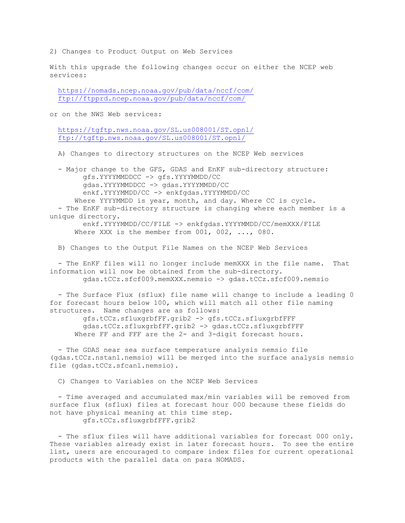2) Changes to Product Output on Web Services

With this upgrade the following changes occur on either the NCEP web services:

 <https://nomads.ncep.noaa.gov/pub/data/nccf/com/> <ftp://ftpprd.ncep.noaa.gov/pub/data/nccf/com/>

or on the NWS Web services:

unique directory.

 <https://tgftp.nws.noaa.gov/SL.us008001/ST.opnl/> <ftp://tgftp.nws.noaa.gov/SL.us008001/ST.opnl/>

A) Changes to directory structures on the NCEP Web services

 - Major change to the GFS, GDAS and EnKF sub-directory structure: gfs.YYYYMMDDCC -> gfs.YYYYMMDD/CC gdas.YYYYMMDDCC -> gdas.YYYYMMDD/CC enkf.YYYYMMDD/CC -> enkfgdas.YYYYMMDD/CC Where YYYYMMDD is year, month, and day. Where CC is cycle. - The EnKF sub-directory structure is changing where each member is a

 enkf.YYYYMMDD/CC/FILE -> enkfgdas.YYYYMMDD/CC/memXXX/FILE Where XXX is the member from 001, 002, ..., 080.

B) Changes to the Output File Names on the NCEP Web Services

 - The EnKF files will no longer include memXXX in the file name. That information will now be obtained from the sub-directory. gdas.tCCz.sfcf009.memXXX.nemsio -> gdas.tCCz.sfcf009.nemsio

 - The Surface Flux (sflux) file name will change to include a leading 0 for forecast hours below 100, which will match all other file naming structures. Name changes are as follows:

 gfs.tCCz.sfluxgrbfFF.grib2 -> gfs.tCCz.sfluxgrbfFFF gdas.tCCz.sfluxgrbfFF.grib2 -> gdas.tCCz.sfluxgrbfFFF Where FF and FFF are the 2- and 3-digit forecast hours.

 - The GDAS near sea surface temperature analysis nemsio file (gdas.tCCz.nstanl.nemsio) will be merged into the surface analysis nemsio file (gdas.tCCz.sfcanl.nemsio).

C) Changes to Variables on the NCEP Web Services

 - Time averaged and accumulated max/min variables will be removed from surface flux (sflux) files at forecast hour 000 because these fields do not have physical meaning at this time step. gfs.tCCz.sfluxgrbfFFF.grib2

 - The sflux files will have additional variables for forecast 000 only. These variables already exist in later forecast hours. To see the entire list, users are encouraged to compare index files for current operational products with the parallel data on para NOMADS.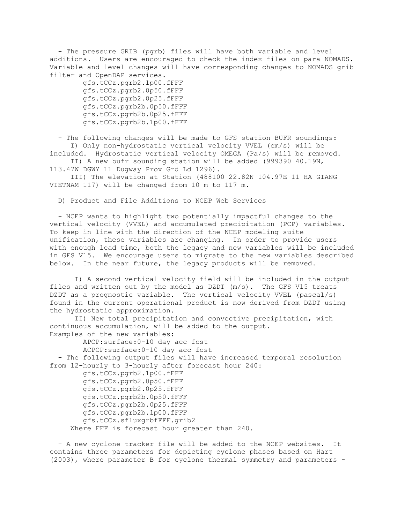- The pressure GRIB (pgrb) files will have both variable and level additions. Users are encouraged to check the index files on para NOMADS. Variable and level changes will have corresponding changes to NOMADS grib filter and OpenDAP services.

> gfs.tCCz.pgrb2.1p00.fFFF gfs.tCCz.pgrb2.0p50.fFFF gfs.tCCz.pgrb2.0p25.fFFF gfs.tCCz.pgrb2b.0p50.fFFF gfs.tCCz.pgrb2b.0p25.fFFF gfs.tCCz.pgrb2b.1p00.fFFF

 - The following changes will be made to GFS station BUFR soundings: I) Only non-hydrostatic vertical velocity VVEL (cm/s) will be

included. Hydrostatic vertical velocity OMEGA (Pa/s) will be removed. II) A new bufr sounding station will be added (999390 40.19N,

113.47W DGWY 11 Dugway Prov Grd Ld 1296).

 III) The elevation at Station (488100 22.82N 104.97E 11 HA GIANG VIETNAM 117) will be changed from 10 m to 117 m.

D) Product and File Additions to NCEP Web Services

 - NCEP wants to highlight two potentially impactful changes to the vertical velocity (VVEL) and accumulated precipitation (PCP) variables. To keep in line with the direction of the NCEP modeling suite unification, these variables are changing. In order to provide users with enough lead time, both the legacy and new variables will be included in GFS V15. We encourage users to migrate to the new variables described below. In the near future, the legacy products will be removed.

 I) A second vertical velocity field will be included in the output files and written out by the model as DZDT (m/s). The GFS V15 treats DZDT as a prognostic variable. The vertical velocity VVEL (pascal/s) found in the current operational product is now derived from DZDT using the hydrostatic approximation.

 II) New total precipitation and convective precipitation, with continuous accumulation, will be added to the output. Examples of the new variables:

APCP:surface:0-10 day acc fcst

ACPCP:surface:0-10 day acc fcst

 - The following output files will have increased temporal resolution from 12-hourly to 3-hourly after forecast hour 240:

 gfs.tCCz.pgrb2.1p00.fFFF gfs.tCCz.pgrb2.0p50.fFFF gfs.tCCz.pgrb2.0p25.fFFF gfs.tCCz.pgrb2b.0p50.fFFF gfs.tCCz.pgrb2b.0p25.fFFF gfs.tCCz.pgrb2b.1p00.fFFF gfs.tCCz.sfluxgrbfFFF.grib2 Where FFF is forecast hour greater than 240.

 - A new cyclone tracker file will be added to the NCEP websites. It contains three parameters for depicting cyclone phases based on Hart (2003), where parameter B for cyclone thermal symmetry and parameters -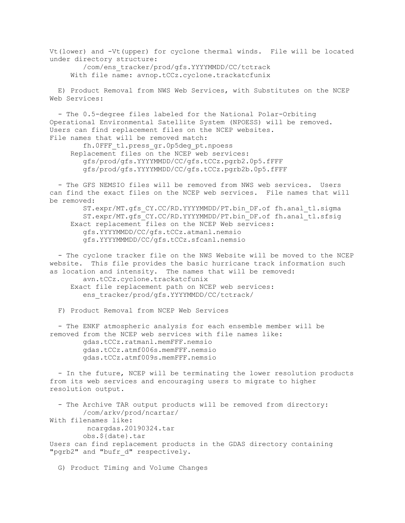Vt(lower) and -Vt(upper) for cyclone thermal winds. File will be located under directory structure:

 /com/ens\_tracker/prod/gfs.YYYYMMDD/CC/tctrack With file name: avnop.tCCz.cyclone.trackatcfunix

 E) Product Removal from NWS Web Services, with Substitutes on the NCEP Web Services:

 - The 0.5-degree files labeled for the National Polar-Orbiting Operational Environmental Satellite System (NPOESS) will be removed. Users can find replacement files on the NCEP websites. File names that will be removed match: fh.0FFF\_tl.press\_gr.0p5deg\_pt.npoess Replacement files on the NCEP web services: gfs/prod/gfs.YYYYMMDD/CC/gfs.tCCz.pgrb2.0p5.fFFF gfs/prod/gfs.YYYYMMDD/CC/gfs.tCCz.pgrb2b.0p5.fFFF - The GFS NEMSIO files will be removed from NWS web services. Users

can find the exact files on the NCEP web services. File names that will be removed:

 ST.expr/MT.gfs\_CY.CC/RD.YYYYMMDD/PT.bin\_DF.of fh.anal\_tl.sigma ST.expr/MT.gfs\_CY.CC/RD.YYYYMMDD/PT.bin\_DF.of fh.anal\_tl.sfsig Exact replacement files on the NCEP Web services: gfs.YYYYMMDD/CC/gfs.tCCz.atmanl.nemsio gfs.YYYYMMMDD/CC/gfs.tCCz.sfcanl.nemsio

 - The cyclone tracker file on the NWS Website will be moved to the NCEP website. This file provides the basic hurricane track information such as location and intensity. The names that will be removed: avn.tCCz.cyclone.trackatcfunix Exact file replacement path on NCEP web services: ens\_tracker/prod/gfs.YYYYMMDD/CC/tctrack/

F) Product Removal from NCEP Web Services

 - The ENKF atmospheric analysis for each ensemble member will be removed from the NCEP web services with file names like: gdas.tCCz.ratmanl.memFFF.nemsio gdas.tCCz.atmf006s.memFFF.nemsio gdas.tCCz.atmf009s.memFFF.nemsio

 - In the future, NCEP will be terminating the lower resolution products from its web services and encouraging users to migrate to higher resolution output.

 - The Archive TAR output products will be removed from directory: /com/arkv/prod/ncartar/ With filenames like: ncargdas.20190324.tar obs.\${date}.tar Users can find replacement products in the GDAS directory containing "pgrb2" and "bufr d" respectively.

G) Product Timing and Volume Changes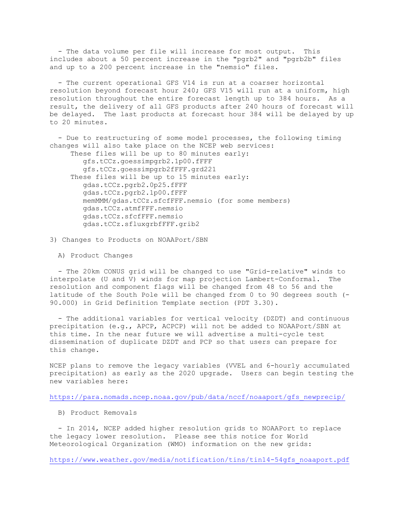- The data volume per file will increase for most output. This includes about a 50 percent increase in the "pgrb2" and "pgrb2b" files and up to a 200 percent increase in the "nemsio" files.

 - The current operational GFS V14 is run at a coarser horizontal resolution beyond forecast hour 240; GFS V15 will run at a uniform, high resolution throughout the entire forecast length up to 384 hours. As a result, the delivery of all GFS products after 240 hours of forecast will be delayed. The last products at forecast hour 384 will be delayed by up to 20 minutes.

 - Due to restructuring of some model processes, the following timing changes will also take place on the NCEP web services: These files will be up to 80 minutes early: gfs.tCCz.goessimpgrb2.1p00.fFFF gfs.tCCz.goessimpgrb2fFFF.grd221 These files will be up to 15 minutes early: gdas.tCCz.pgrb2.0p25.fFFF gdas.tCCz.pgrb2.1p00.fFFF memMMM/gdas.tCCz.sfcfFFF.nemsio (for some members) gdas.tCCz.atmfFFF.nemsio gdas.tCCz.sfcfFFF.nemsio gdas.tCCz.sfluxgrbfFFF.grib2

3) Changes to Products on NOAAPort/SBN

A) Product Changes

 - The 20km CONUS grid will be changed to use "Grid-relative" winds to interpolate (U and V) winds for map projection Lambert-Conformal. The resolution and component flags will be changed from 48 to 56 and the latitude of the South Pole will be changed from 0 to 90 degrees south (- 90.000) in Grid Definition Template section (PDT 3.30).

 - The additional variables for vertical velocity (DZDT) and continuous precipitation (e.g., APCP, ACPCP) will not be added to NOAAPort/SBN at this time. In the near future we will advertise a multi-cycle test dissemination of duplicate DZDT and PCP so that users can prepare for this change.

NCEP plans to remove the legacy variables (VVEL and 6-hourly accumulated precipitation) as early as the 2020 upgrade. Users can begin testing the new variables here:

[https://para.nomads.ncep.noaa.gov/pub/data/nccf/noaaport/gfs\\_newprecip/](https://para.nomads.ncep.noaa.gov/pub/data/nccf/noaaport/gfs_newprecip/)

B) Product Removals

 - In 2014, NCEP added higher resolution grids to NOAAPort to replace the legacy lower resolution. Please see this notice for World Meteorological Organization (WMO) information on the new grids:

[https://www.weather.gov/media/notification/tins/tin14-54gfs\\_noaaport.pdf](https://www.weather.gov/media/notification/tins/tin14-54gfs_noaaport.pdf)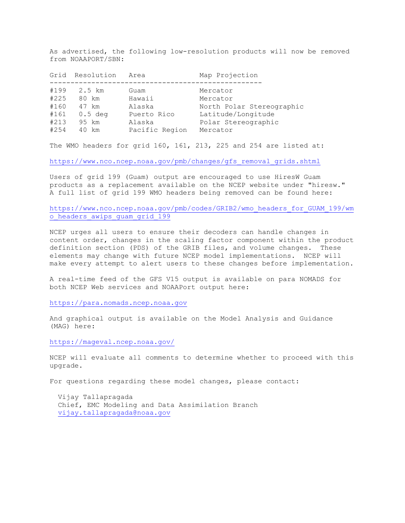As advertised, the following low-resolution products will now be removed from NOAAPORT/SBN:

|              | Grid Resolution   | Area           | Map Projection            |
|--------------|-------------------|----------------|---------------------------|
| #199<br>#225 | $2.5$ km<br>80 km | Guam<br>Hawaii | Mercator<br>Mercator      |
| #160         | 47 km             | Alaska         | North Polar Stereographic |
| #161         | $0.5$ deg         | Puerto Rico    | Latitude/Longitude        |
| #213         | 95 km             | Alaska         | Polar Stereographic       |
| #254         | 40 km             | Pacific Region | Mercator                  |

The WMO headers for grid 160, 161, 213, 225 and 254 are listed at:

[https://www.nco.ncep.noaa.gov/pmb/changes/gfs\\_removal\\_grids.shtml](https://www.nco.ncep.noaa.gov/pmb/changes/gfs_removal_grids.shtml)

Users of grid 199 (Guam) output are encouraged to use HiresW Guam products as a replacement available on the NCEP website under "hiresw." A full list of grid 199 WMO headers being removed can be found here:

[https://www.nco.ncep.noaa.gov/pmb/codes/GRIB2/wmo\\_headers\\_for\\_GUAM\\_199/wm](https://www.nco.ncep.noaa.gov/pmb/codes/GRIB2/wmo_headers_for_GUAM_199/wmo_headers_awips_guam_grid_199) [o\\_headers\\_awips\\_guam\\_grid\\_199](https://www.nco.ncep.noaa.gov/pmb/codes/GRIB2/wmo_headers_for_GUAM_199/wmo_headers_awips_guam_grid_199)

NCEP urges all users to ensure their decoders can handle changes in content order, changes in the scaling factor component within the product definition section (PDS) of the GRIB files, and volume changes. These elements may change with future NCEP model implementations. NCEP will make every attempt to alert users to these changes before implementation.

A real-time feed of the GFS V15 output is available on para NOMADS for both NCEP Web services and NOAAPort output here:

[https://para.nomads.ncep.noaa.gov](https://para.nomads.ncep.noaa.gov/)

And graphical output is available on the Model Analysis and Guidance (MAG) here:

<https://mageval.ncep.noaa.gov/>

NCEP will evaluate all comments to determine whether to proceed with this upgrade.

For questions regarding these model changes, please contact:

 Vijay Tallapragada Chief, EMC Modeling and Data Assimilation Branch [vijay.tallapragada@noaa.gov](mailto:vijay.tallapragada@noaa.gov)